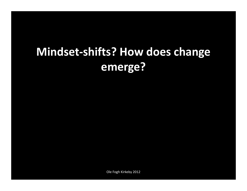# Mindset-shifts? How does change emerge?

Ole Fogh Kirkeby 2012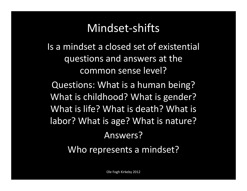## Mindset-shifts

Is a mindset a closed set of existential questions and answers at the common sense level?

Questions: What is a human being? What is childhood? What is gender? What is life? What is death? What is labor? What is age? What is nature? Answers?

Who represents a mindset?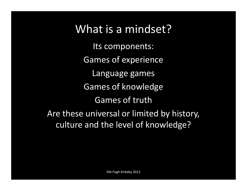## What is a mindset?

Its components: Games of experienceLanguage games Games of knowledgeGames of truthAre these universal or limited by history, culture and the level of knowledge?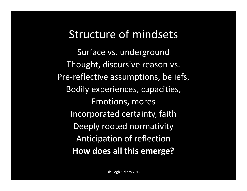### Structure of mindsets

Surface vs. undergroundThought, discursive reason vs. Pre-reflective assumptions, beliefs, Bodily experiences, capacities, Emotions, moresIncorporated certainty, faithDeeply rooted normativity Anticipation of reflectionHow does all this emerge?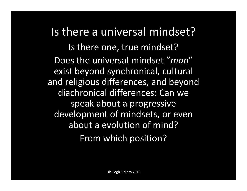Is there a universal mindset? Is there one, true mindset? Does the universal mindset "man" exist beyond synchronical, cultural and religious differences, and beyonddiachronical differences: Can we speak about a progressive development of mindsets, or evenabout a evolution of mind? From which position?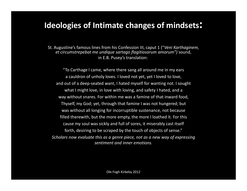#### Ideologies of Intimate changes of mindsets:

St. Augustine's famous lines from his Confession III, caput 1 ("Veni Karthaginem, et circumstrepebat me undique sartago flagitiosorum amorum") sound, in E.B. Pusey's translation:

"To Carthage I came, where there sang all around me in my ears a cauldron of unholy loves. I loved not yet, yet I loved to love, and out of a deep-seated want, I hated myself for wanting not. I sought what I might love, in love with loving, and safety I hated, and a way without snares. For within me was a famine of that inward food, Thyself, my God; yet, through that famine I was not hungered; but was without all longing for incorruptible sustenance, not because filled therewith, but the more empty, the more I loathed it. For this cause my soul was sickly and full of sores, it miserably cast itself forth, desiring to be scraped by the touch of objects of sense."Scholars now evaluate this as a genre piece, not as a new way of expressing sentiment and inner emotions.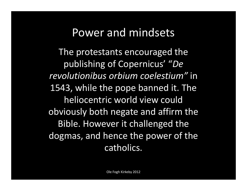## Power and mindsets

The protestants encouraged the publishing of Copernicus' "De revolutionibus orbium coelestium" in 1543, while the pope banned it. The heliocentric world view could obviously both negate and affirm the Bible. However it challenged the dogmas, and hence the power of the catholics.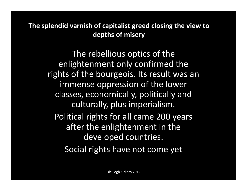The splendid varnish of capitalist greed closing the view to depths of misery

> The rebellious optics of the enlightenment only confirmed the rights of the bourgeois. Its result was an immense oppression of the lower classes, economically, politically and culturally, plus imperialism.Political rights for all came 200 years after the enlightenment in the developed countries.Social rights have not come yet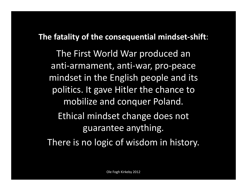#### The fatality of the consequential mindset-shift:

The First World War produced an anti-armament, anti-war, pro-peace mindset in the English people and its politics. It gave Hitler the chance to mobilize and conquer Poland. Ethical mindset change does not guarantee anything. There is no logic of wisdom in history.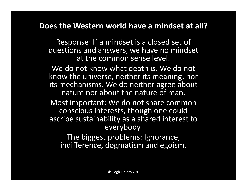#### Does the Western world have a mindset at all?

Response: If a mindset is a closed set of questions and answers, we have no mindset at the common sense level.

We do not know what death is. We do not know the universe, neither its meaning, nor its mechanisms. We do neither agree about nature nor about the nature of man.

Most important: We do not share common conscious interests, though one could ascribe sustainability as a shared interest to everybody.

The biggest problems: Ignorance, indifference, dogmatism and egoism.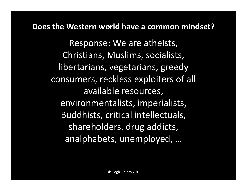#### Does the Western world have a common mindset?

Response: We are atheists, Christians, Muslims, socialists, libertarians, vegetarians, greedy consumers, reckless exploiters of all available resources, environmentalists, imperialists, Buddhists, critical intellectuals, shareholders, drug addicts, analphabets, unemployed, …